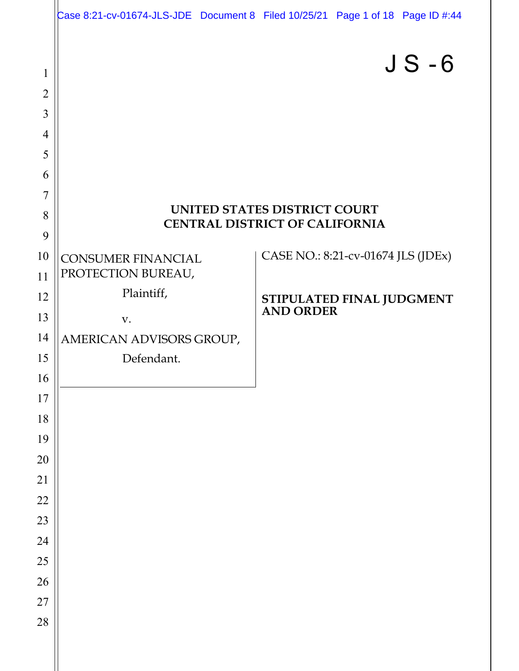|                |                                       | Case 8:21-cv-01674-JLS-JDE Document 8 Filed 10/25/21 Page 1 of 18 Page ID #:44 |  |  |
|----------------|---------------------------------------|--------------------------------------------------------------------------------|--|--|
|                |                                       | $JS - 6$                                                                       |  |  |
| $\mathbf 1$    |                                       |                                                                                |  |  |
| $\overline{2}$ |                                       |                                                                                |  |  |
| 3              |                                       |                                                                                |  |  |
| $\overline{4}$ |                                       |                                                                                |  |  |
| 5              |                                       |                                                                                |  |  |
| 6<br>7         |                                       |                                                                                |  |  |
| 8              | <b>UNITED STATES DISTRICT COURT</b>   |                                                                                |  |  |
| 9              | <b>CENTRAL DISTRICT OF CALIFORNIA</b> |                                                                                |  |  |
| 10             | <b>CONSUMER FINANCIAL</b>             | CASE NO.: 8:21-cv-01674 JLS (JDEx)                                             |  |  |
| 11             | PROTECTION BUREAU,                    |                                                                                |  |  |
| 12             | Plaintiff,                            |                                                                                |  |  |
| 13             | V.                                    | STIPULATED FINAL JUDGMENT<br>AND ORDER                                         |  |  |
| 14             | AMERICAN ADVISORS GROUP,              |                                                                                |  |  |
| 15             | Defendant.                            |                                                                                |  |  |
| 16             |                                       |                                                                                |  |  |
| $17$           |                                       |                                                                                |  |  |
| 18             |                                       |                                                                                |  |  |
| 19             |                                       |                                                                                |  |  |
| 20             |                                       |                                                                                |  |  |
| 21             |                                       |                                                                                |  |  |
| 22             |                                       |                                                                                |  |  |
| 23             |                                       |                                                                                |  |  |
| 24             |                                       |                                                                                |  |  |
| 25             |                                       |                                                                                |  |  |
| 26             |                                       |                                                                                |  |  |
| 27<br>28       |                                       |                                                                                |  |  |
|                |                                       |                                                                                |  |  |
|                |                                       |                                                                                |  |  |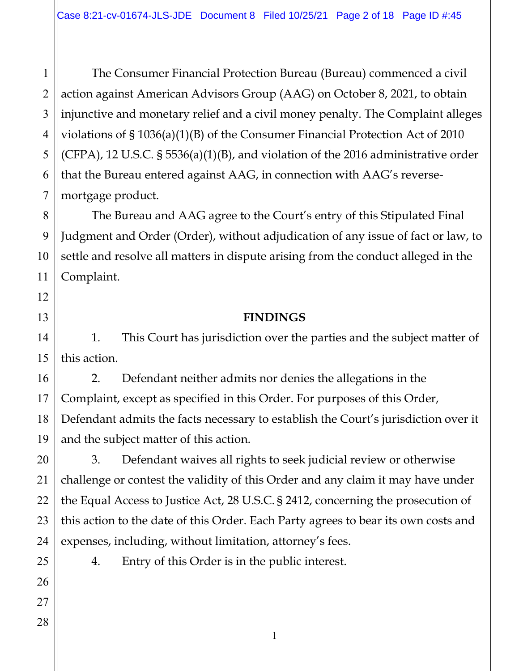The Consumer Financial Protection Bureau (Bureau) commenced a civil action against American Advisors Group (AAG) on October 8, 2021, to obtain injunctive and monetary relief and a civil money penalty. The Complaint alleges violations of § 1036(a)(1)(B) of the Consumer Financial Protection Act of 2010 (CFPA), 12 U.S.C. § 5536(a)(1)(B), and violation of the 2016 administrative order that the Bureau entered against AAG, in connection with AAG's reversemortgage product.

The Bureau and AAG agree to the Court's entry of this Stipulated Final Judgment and Order (Order), without adjudication of any issue of fact or law, to settle and resolve all matters in dispute arising from the conduct alleged in the Complaint.

#### **FINDINGS**

1. This Court has jurisdiction over the parties and the subject matter of this action.

2. Defendant neither admits nor denies the allegations in the Complaint, except as specified in this Order. For purposes of this Order, Defendant admits the facts necessary to establish the Court's jurisdiction over it and the subject matter of this action.

3. Defendant waives all rights to seek judicial review or otherwise challenge or contest the validity of this Order and any claim it may have under the Equal Access to Justice Act, 28 U.S.C. § 2412, concerning the prosecution of this action to the date of this Order. Each Party agrees to bear its own costs and expenses, including, without limitation, attorney's fees.

4. Entry of this Order is in the public interest.

1

2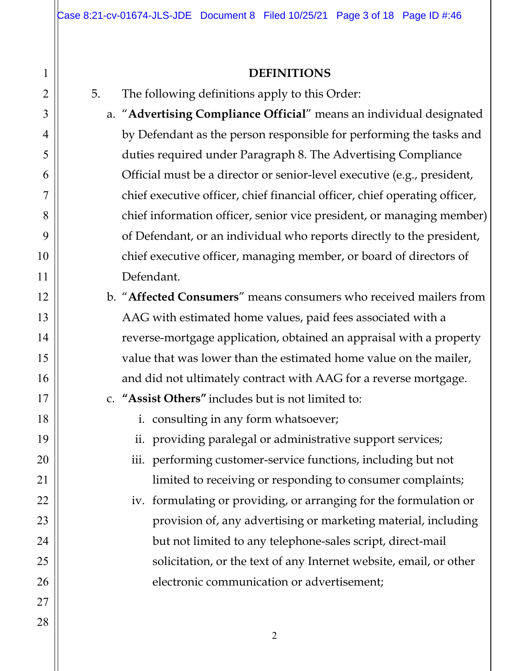#### **DEFINITIONS**

- 5. The following definitions apply to this Order:
	- a. "**Advertising Compliance Official**" means an individual designated by Defendant as the person responsible for performing the tasks and duties required under Paragraph 8. The Advertising Compliance Official must be a director or senior-level executive (e.g., president, chief executive officer, chief financial officer, chief operating officer, chief information officer, senior vice president, or managing member) of Defendant, or an individual who reports directly to the president, chief executive officer, managing member, or board of directors of Defendant.
	- b. "**Affected Consumers**" means consumers who received mailers from AAG with estimated home values, paid fees associated with a reverse-mortgage application, obtained an appraisal with a property value that was lower than the estimated home value on the mailer, and did not ultimately contract with AAG for a reverse mortgage.
	- c. **"Assist Others"** includes but is not limited to:
		- i. consulting in any form whatsoever;
		- ii. providing paralegal or administrative support services;
		- iii. performing customer-service functions, including but not limited to receiving or responding to consumer complaints;
		- iv. formulating or providing, or arranging for the formulation or provision of, any advertising or marketing material, including but not limited to any telephone-sales script, direct-mail solicitation, or the text of any Internet website, email, or other electronic communication or advertisement;

1

2

3

4

5

6

7

8

9

10

11

12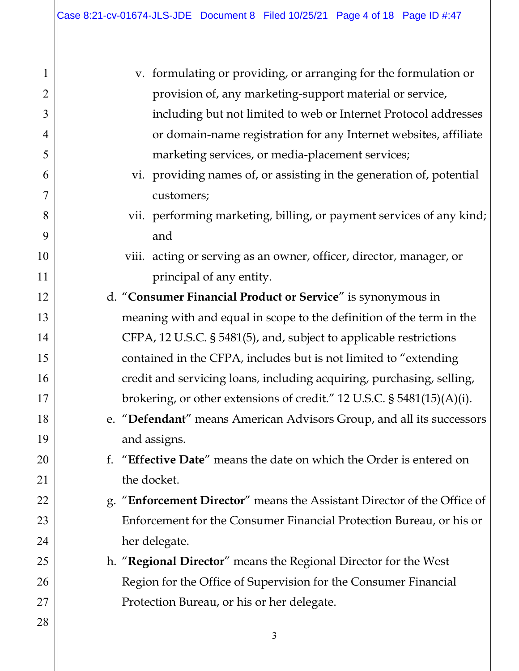| $\mathbf{1}$   | v. formulating or providing, or arranging for the formulation or          |  |
|----------------|---------------------------------------------------------------------------|--|
| $\overline{2}$ | provision of, any marketing-support material or service,                  |  |
| 3              | including but not limited to web or Internet Protocol addresses           |  |
| 4              | or domain-name registration for any Internet websites, affiliate          |  |
| 5              | marketing services, or media-placement services;                          |  |
| 6              | vi. providing names of, or assisting in the generation of, potential      |  |
| 7              | customers;                                                                |  |
| 8              | vii. performing marketing, billing, or payment services of any kind;      |  |
| 9              | and                                                                       |  |
| 10             | viii. acting or serving as an owner, officer, director, manager, or       |  |
| 11             | principal of any entity.                                                  |  |
| 12             | d. "Consumer Financial Product or Service" is synonymous in               |  |
| 13             | meaning with and equal in scope to the definition of the term in the      |  |
| 14             | CFPA, 12 U.S.C. § 5481(5), and, subject to applicable restrictions        |  |
| 15             | contained in the CFPA, includes but is not limited to "extending          |  |
| 16             | credit and servicing loans, including acquiring, purchasing, selling,     |  |
| 17             | brokering, or other extensions of credit." 12 U.S.C. $\S$ 5481(15)(A)(i). |  |
| 18             | e. "Defendant" means American Advisors Group, and all its successors      |  |
| 19             | and assigns.                                                              |  |
| 20             | f. "Effective Date" means the date on which the Order is entered on       |  |
| 21             | the docket.                                                               |  |
| 22             | g. "Enforcement Director" means the Assistant Director of the Office of   |  |
| 23             | Enforcement for the Consumer Financial Protection Bureau, or his or       |  |
| 24             | her delegate.                                                             |  |
| 25             | h. "Regional Director" means the Regional Director for the West           |  |
| 26             | Region for the Office of Supervision for the Consumer Financial           |  |
| 27             | Protection Bureau, or his or her delegate.                                |  |
| 28             |                                                                           |  |
|                | 3                                                                         |  |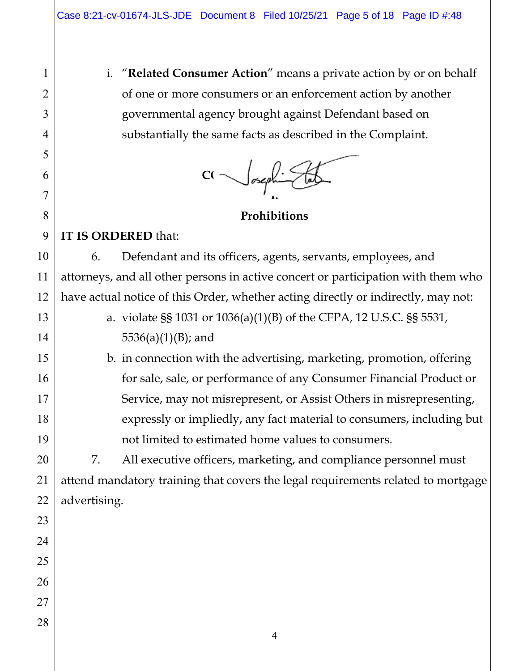i. "**Related Consumer Action**" means a private action by or on behalf of one or more consumers or an enforcement action by another governmental agency brought against Defendant based on substantially the same facts as described in the Complaint.

 $C \sim \infty$ **I.** 

**Prohibitions** 

## **IT IS ORDERED** that:

6. Defendant and its officers, agents, servants, employees, and attorneys, and all other persons in active concert or participation with them who have actual notice of this Order, whether acting directly or indirectly, may not:

> a. violate §§ 1031 or 1036(a)(1)(B) of the CFPA, 12 U.S.C. §§ 5531,  $5536(a)(1)(B)$ ; and

b. in connection with the advertising, marketing, promotion, offering for sale, sale, or performance of any Consumer Financial Product or Service, may not misrepresent, or Assist Others in misrepresenting, expressly or impliedly, any fact material to consumers, including but not limited to estimated home values to consumers.

7. All executive officers, marketing, and compliance personnel must attend mandatory training that covers the legal requirements related to mortgage advertising.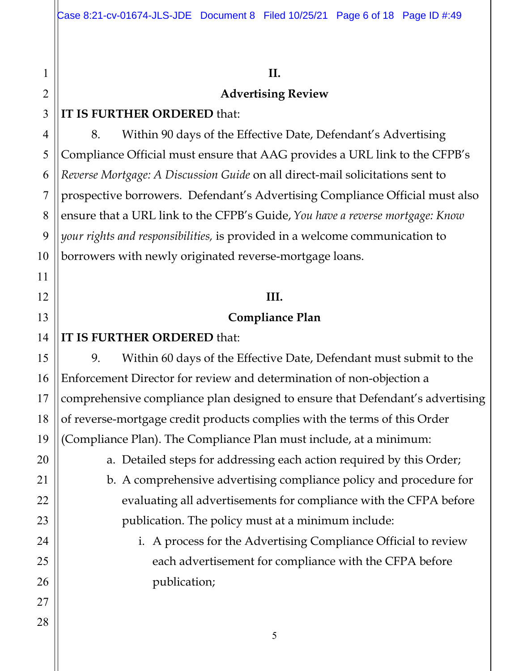#### **II.**

#### **Advertising Review**

## **IT IS FURTHER ORDERED** that:

8. Within 90 days of the Effective Date, Defendant's Advertising Compliance Official must ensure that AAG provides a URL link to the CFPB's *Reverse Mortgage: A Discussion Guide* on all direct-mail solicitations sent to prospective borrowers. Defendant's Advertising Compliance Official must also ensure that a URL link to the CFPB's Guide,*You have a reverse mortgage: Know your rights and responsibilities,* is provided in a welcome communication to borrowers with newly originated reverse-mortgage loans.

## **III.**

### **Compliance Plan**

## **IT IS FURTHER ORDERED** that:

9. Within 60 days of the Effective Date, Defendant must submit to the Enforcement Director for review and determination of non-objection a comprehensive compliance plan designed to ensure that Defendant's advertising of reverse-mortgage credit products complies with the terms of this Order (Compliance Plan). The Compliance Plan must include, at a minimum:

a. Detailed steps for addressing each action required by this Order;

b. A comprehensive advertising compliance policy and procedure for evaluating all advertisements for compliance with the CFPA before publication. The policy must at a minimum include:

## i. A process for the Advertising Compliance Official to review each advertisement for compliance with the CFPA before publication;

1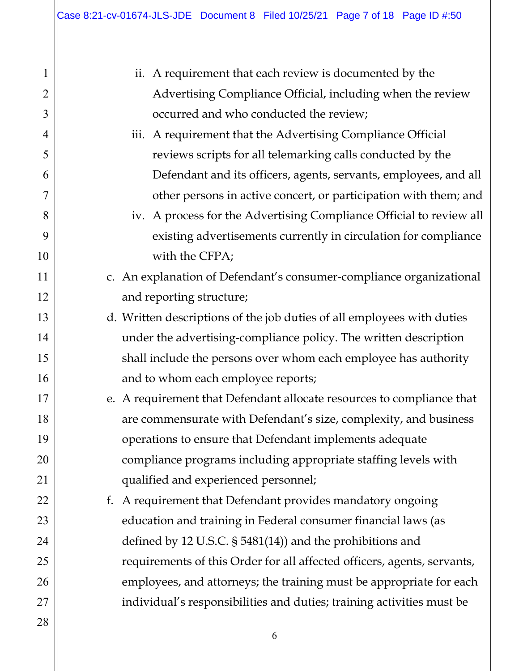1

2

3

4

5

6

7

8

9

10

11

12

13

14

15

16

17

18

19

20

21

22

23

24

25

26

27

| ii. A requirement that each review is documented by the                 |
|-------------------------------------------------------------------------|
| Advertising Compliance Official, including when the review              |
| occurred and who conducted the review;                                  |
| iii. A requirement that the Advertising Compliance Official             |
| reviews scripts for all telemarking calls conducted by the              |
| Defendant and its officers, agents, servants, employees, and all        |
| other persons in active concert, or participation with them; and        |
| iv. A process for the Advertising Compliance Official to review all     |
| existing advertisements currently in circulation for compliance         |
| with the CFPA;                                                          |
| c. An explanation of Defendant's consumer-compliance organizational     |
| and reporting structure;                                                |
| d. Written descriptions of the job duties of all employees with duties  |
| under the advertising-compliance policy. The written description        |
| shall include the persons over whom each employee has authority         |
| and to whom each employee reports;                                      |
| e. A requirement that Defendant allocate resources to compliance that   |
| are commensurate with Defendant's size, complexity, and business        |
| operations to ensure that Defendant implements adequate                 |
| compliance programs including appropriate staffing levels with          |
| qualified and experienced personnel;                                    |
| f. A requirement that Defendant provides mandatory ongoing              |
| education and training in Federal consumer financial laws (as           |
| defined by 12 U.S.C. $\S$ 5481(14)) and the prohibitions and            |
| requirements of this Order for all affected officers, agents, servants, |
| employees, and attorneys; the training must be appropriate for each     |
| individual's responsibilities and duties; training activities must be   |
|                                                                         |
| 6                                                                       |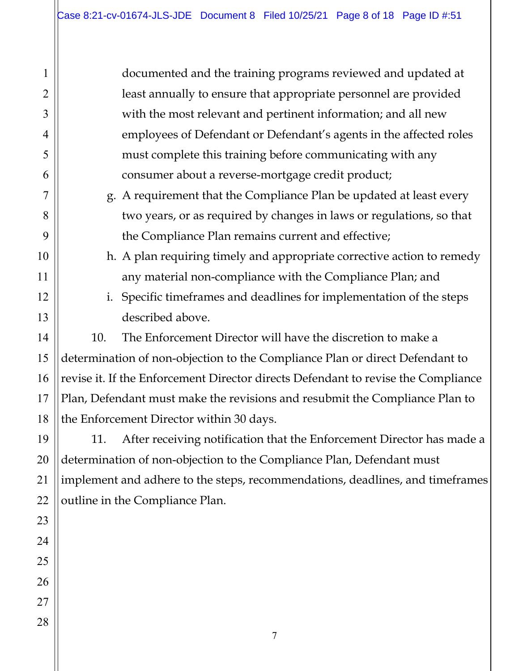documented and the training programs reviewed and updated at least annually to ensure that appropriate personnel are provided with the most relevant and pertinent information; and all new employees of Defendant or Defendant's agents in the affected roles must complete this training before communicating with any consumer about a reverse-mortgage credit product;

g. A requirement that the Compliance Plan be updated at least every two years, or as required by changes in laws or regulations, so that the Compliance Plan remains current and effective;

h. A plan requiring timely and appropriate corrective action to remedy any material non-compliance with the Compliance Plan; and

i. Specific timeframes and deadlines for implementation of the steps described above.

10. The Enforcement Director will have the discretion to make a determination of non-objection to the Compliance Plan or direct Defendant to revise it. If the Enforcement Director directs Defendant to revise the Compliance Plan, Defendant must make the revisions and resubmit the Compliance Plan to the Enforcement Director within 30 days.

11. After receiving notification that the Enforcement Director has made a determination of non-objection to the Compliance Plan, Defendant must implement and adhere to the steps, recommendations, deadlines, and timeframes outline in the Compliance Plan.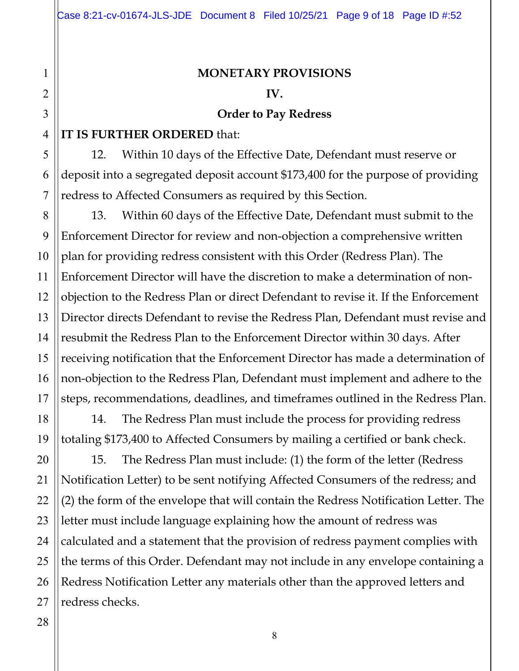#### **MONETARY PROVISIONS**

#### **IV.**

#### **Order to Pay Redress**

#### **IT IS FURTHER ORDERED** that:

12. Within 10 days of the Effective Date, Defendant must reserve or deposit into a segregated deposit account \$173,400 for the purpose of providing redress to Affected Consumers as required by this Section.

13. Within 60 days of the Effective Date, Defendant must submit to the Enforcement Director for review and non-objection a comprehensive written plan for providing redress consistent with this Order (Redress Plan). The Enforcement Director will have the discretion to make a determination of nonobjection to the Redress Plan or direct Defendant to revise it. If the Enforcement Director directs Defendant to revise the Redress Plan, Defendant must revise and resubmit the Redress Plan to the Enforcement Director within 30 days. After receiving notification that the Enforcement Director has made a determination of non-objection to the Redress Plan, Defendant must implement and adhere to the steps, recommendations, deadlines, and timeframes outlined in the Redress Plan.

14. The Redress Plan must include the process for providing redress totaling \$173,400 to Affected Consumers by mailing a certified or bank check.

15. The Redress Plan must include: (1) the form of the letter (Redress Notification Letter) to be sent notifying Affected Consumers of the redress; and (2) the form of the envelope that will contain the Redress Notification Letter. The letter must include language explaining how the amount of redress was calculated and a statement that the provision of redress payment complies with the terms of this Order. Defendant may not include in any envelope containing a Redress Notification Letter any materials other than the approved letters and redress checks.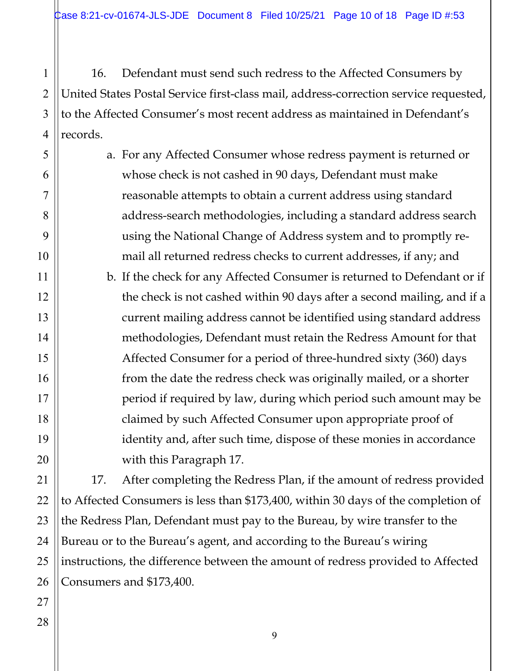16. Defendant must send such redress to the Affected Consumers by United States Postal Service first-class mail, address-correction service requested, to the Affected Consumer's most recent address as maintained in Defendant's records.

a. For any Affected Consumer whose redress payment is returned or whose check is not cashed in 90 days, Defendant must make reasonable attempts to obtain a current address using standard address-search methodologies, including a standard address search using the National Change of Address system and to promptly remail all returned redress checks to current addresses, if any; and

b. If the check for any Affected Consumer is returned to Defendant or if the check is not cashed within 90 days after a second mailing, and if a current mailing address cannot be identified using standard address methodologies, Defendant must retain the Redress Amount for that Affected Consumer for a period of three-hundred sixty (360) days from the date the redress check was originally mailed, or a shorter period if required by law, during which period such amount may be claimed by such Affected Consumer upon appropriate proof of identity and, after such time, dispose of these monies in accordance with this Paragraph 17.

17. After completing the Redress Plan, if the amount of redress provided to Affected Consumers is less than \$173,400, within 30 days of the completion of the Redress Plan, Defendant must pay to the Bureau, by wire transfer to the Bureau or to the Bureau's agent, and according to the Bureau's wiring instructions, the difference between the amount of redress provided to Affected Consumers and \$173,400.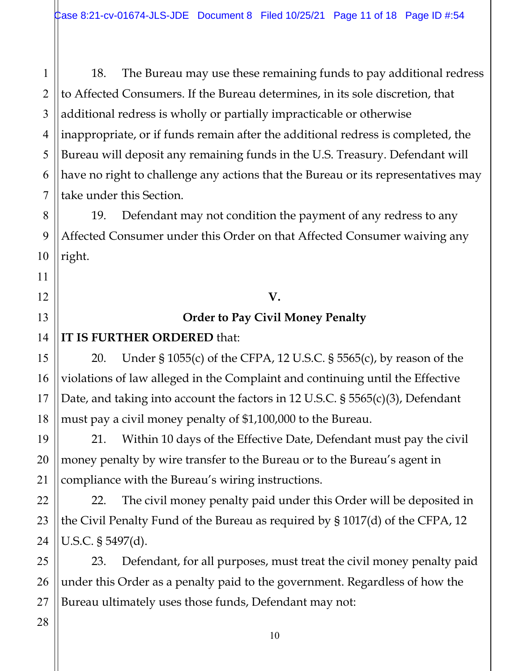18. The Bureau may use these remaining funds to pay additional redress to Affected Consumers. If the Bureau determines, in its sole discretion, that additional redress is wholly or partially impracticable or otherwise inappropriate, or if funds remain after the additional redress is completed, the Bureau will deposit any remaining funds in the U.S. Treasury. Defendant will have no right to challenge any actions that the Bureau or its representatives may take under this Section.

19. Defendant may not condition the payment of any redress to any Affected Consumer under this Order on that Affected Consumer waiving any right.

# **V.**

## **Order to Pay Civil Money Penalty**

## **IT IS FURTHER ORDERED** that:

20. Under § 1055(c) of the CFPA, 12 U.S.C. § 5565(c), by reason of the violations of law alleged in the Complaint and continuing until the Effective Date, and taking into account the factors in 12 U.S.C. § 5565(c)(3), Defendant must pay a civil money penalty of \$1,100,000 to the Bureau.

21. Within 10 days of the Effective Date, Defendant must pay the civil money penalty by wire transfer to the Bureau or to the Bureau's agent in compliance with the Bureau's wiring instructions.

22. The civil money penalty paid under this Order will be deposited in the Civil Penalty Fund of the Bureau as required by § 1017(d) of the CFPA, 12 U.S.C. § 5497(d).

23. Defendant, for all purposes, must treat the civil money penalty paid under this Order as a penalty paid to the government. Regardless of how the Bureau ultimately uses those funds, Defendant may not:

1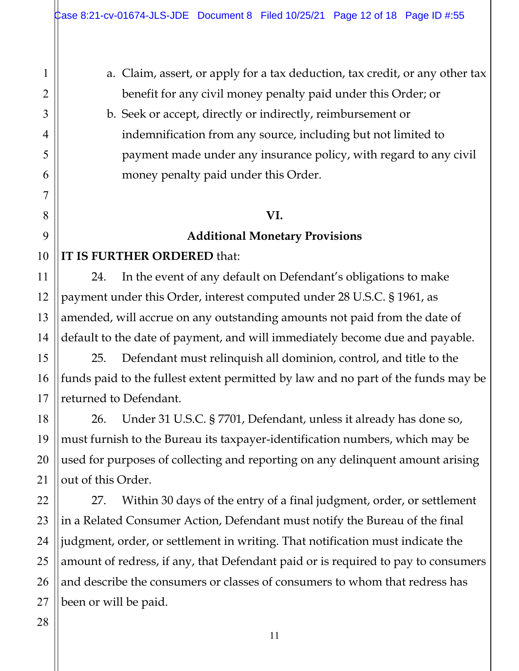- a. Claim, assert, or apply for a tax deduction, tax credit, or any other tax benefit for any civil money penalty paid under this Order; or
- b. Seek or accept, directly or indirectly, reimbursement or indemnification from any source, including but not limited to payment made under any insurance policy, with regard to any civil money penalty paid under this Order.

#### **VI.**

### **Additional Monetary Provisions**

## **IT IS FURTHER ORDERED** that:

24. In the event of any default on Defendant's obligations to make payment under this Order, interest computed under 28 U.S.C. § 1961, as amended, will accrue on any outstanding amounts not paid from the date of default to the date of payment, and will immediately become due and payable.

25. Defendant must relinquish all dominion, control, and title to the funds paid to the fullest extent permitted by law and no part of the funds may be returned to Defendant.

26. Under 31 U.S.C. § 7701, Defendant, unless it already has done so, must furnish to the Bureau its taxpayer-identification numbers, which may be used for purposes of collecting and reporting on any delinquent amount arising out of this Order.

27. Within 30 days of the entry of a final judgment, order, or settlement in a Related Consumer Action, Defendant must notify the Bureau of the final judgment, order, or settlement in writing. That notification must indicate the amount of redress, if any, that Defendant paid or is required to pay to consumers and describe the consumers or classes of consumers to whom that redress has been or will be paid.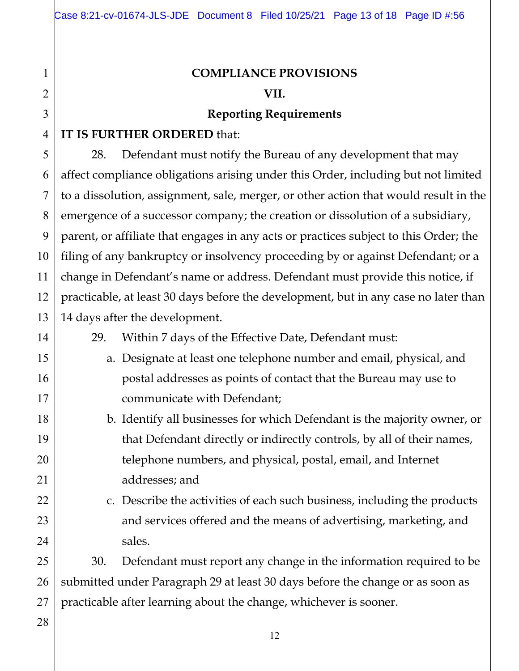## **COMPLIANCE PROVISIONS VII.**

#### **Reporting Requirements**

## **IT IS FURTHER ORDERED** that:

28. Defendant must notify the Bureau of any development that may affect compliance obligations arising under this Order, including but not limited to a dissolution, assignment, sale, merger, or other action that would result in the emergence of a successor company; the creation or dissolution of a subsidiary, parent, or affiliate that engages in any acts or practices subject to this Order; the filing of any bankruptcy or insolvency proceeding by or against Defendant; or a change in Defendant's name or address. Defendant must provide this notice, if practicable, at least 30 days before the development, but in any case no later than 14 days after the development.

29. Within 7 days of the Effective Date, Defendant must:

- a. Designate at least one telephone number and email, physical, and postal addresses as points of contact that the Bureau may use to communicate with Defendant;
	- b. Identify all businesses for which Defendant is the majority owner, or that Defendant directly or indirectly controls, by all of their names, telephone numbers, and physical, postal, email, and Internet addresses; and

c. Describe the activities of each such business, including the products and services offered and the means of advertising, marketing, and sales.

30. Defendant must report any change in the information required to be submitted under Paragraph 29 at least 30 days before the change or as soon as practicable after learning about the change, whichever is sooner.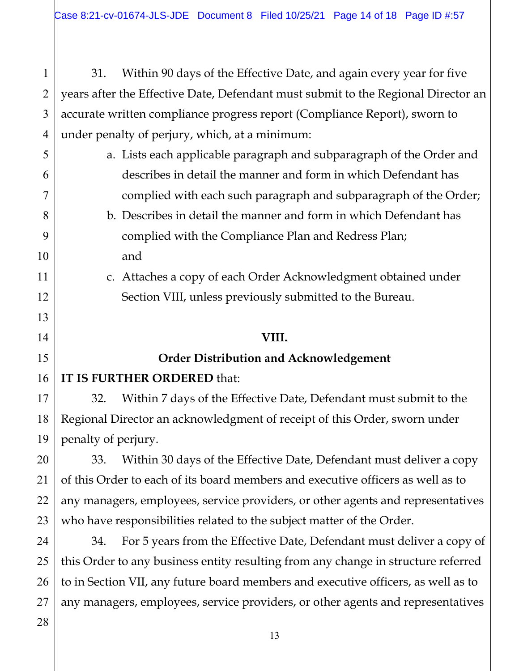31. Within 90 days of the Effective Date, and again every year for five years after the Effective Date, Defendant must submit to the Regional Director an accurate written compliance progress report (Compliance Report), sworn to under penalty of perjury, which, at a minimum:

- a. Lists each applicable paragraph and subparagraph of the Order and describes in detail the manner and form in which Defendant has complied with each such paragraph and subparagraph of the Order;
- b. Describes in detail the manner and form in which Defendant has complied with the Compliance Plan and Redress Plan; and
- c. Attaches a copy of each Order Acknowledgment obtained under Section VIII, unless previously submitted to the Bureau.

#### **VIII.**

## **Order Distribution and Acknowledgement**

## **IT IS FURTHER ORDERED** that:

32. Within 7 days of the Effective Date, Defendant must submit to the Regional Director an acknowledgment of receipt of this Order, sworn under penalty of perjury.

33. Within 30 days of the Effective Date, Defendant must deliver a copy of this Order to each of its board members and executive officers as well as to any managers, employees, service providers, or other agents and representatives who have responsibilities related to the subject matter of the Order.

34. For 5 years from the Effective Date, Defendant must deliver a copy of this Order to any business entity resulting from any change in structure referred to in Section VII, any future board members and executive officers, as well as to any managers, employees, service providers, or other agents and representatives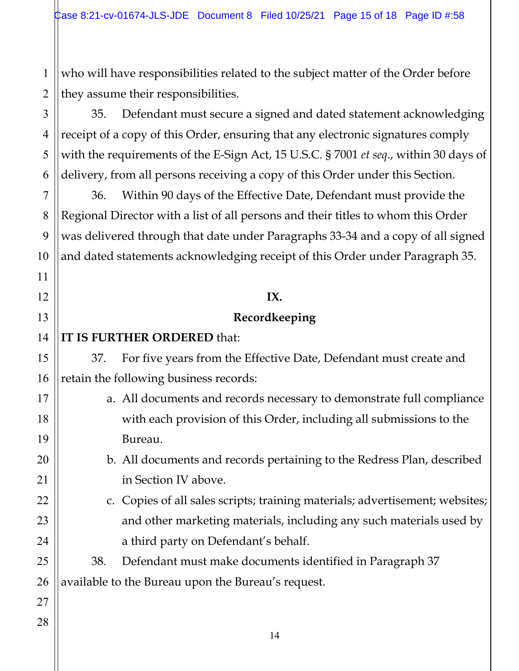1 who will have responsibilities related to the subject matter of the Order before they assume their responsibilities.

35. Defendant must secure a signed and dated statement acknowledging receipt of a copy of this Order, ensuring that any electronic signatures comply with the requirements of the E-Sign Act, 15 U.S.C. § 7001 *et seq*., within 30 days of delivery, from all persons receiving a copy of this Order under this Section.

36. Within 90 days of the Effective Date, Defendant must provide the Regional Director with a list of all persons and their titles to whom this Order was delivered through that date under Paragraphs 33-34 and a copy of all signed and dated statements acknowledging receipt of this Order under Paragraph 35.

## **IX.**

## **Recordkeeping**

**IT IS FURTHER ORDERED** that:

37. For five years from the Effective Date, Defendant must create and retain the following business records:

- a. All documents and records necessary to demonstrate full compliance with each provision of this Order, including all submissions to the Bureau.
	- b. All documents and records pertaining to the Redress Plan, described in Section IV above.
	- c. Copies of all sales scripts; training materials; advertisement; websites; and other marketing materials, including any such materials used by a third party on Defendant's behalf.

38. Defendant must make documents identified in Paragraph 37 available to the Bureau upon the Bureau's request.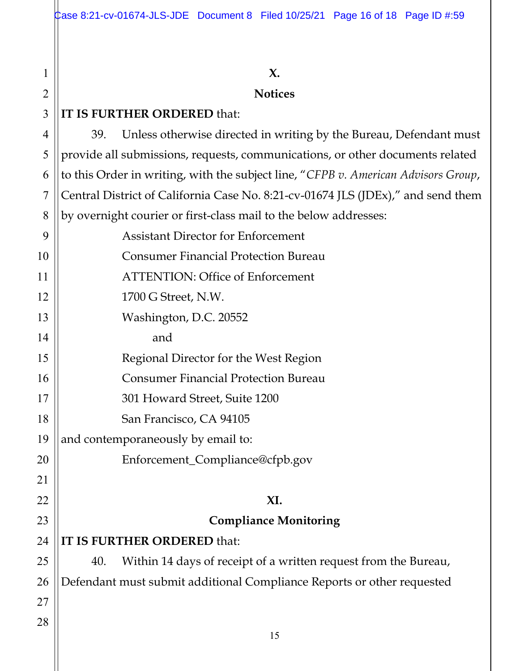#### **X.**

#### **Notices**

## **IT IS FURTHER ORDERED** that:

1

2

3

4

5

6

7

8

39. Unless otherwise directed in writing by the Bureau, Defendant must provide all submissions, requests, communications, or other documents related to this Order in writing, with the subject line, "*CFPB v. American Advisors Group*, Central District of California Case No. 8:21-cv-01674 JLS (JDEx)," and send them by overnight courier or first-class mail to the below addresses:

| 9  | <b>Assistant Director for Enforcement</b>                              |  |
|----|------------------------------------------------------------------------|--|
| 10 | <b>Consumer Financial Protection Bureau</b>                            |  |
| 11 | <b>ATTENTION: Office of Enforcement</b>                                |  |
| 12 | 1700 G Street, N.W.                                                    |  |
| 13 | Washington, D.C. 20552                                                 |  |
| 14 | and                                                                    |  |
| 15 | Regional Director for the West Region                                  |  |
| 16 | <b>Consumer Financial Protection Bureau</b>                            |  |
| 17 | 301 Howard Street, Suite 1200                                          |  |
| 18 | San Francisco, CA 94105                                                |  |
| 19 | and contemporaneously by email to:                                     |  |
| 20 | Enforcement_Compliance@cfpb.gov                                        |  |
| 21 |                                                                        |  |
| 22 | XI.                                                                    |  |
| 23 | <b>Compliance Monitoring</b>                                           |  |
| 24 | IT IS FURTHER ORDERED that:                                            |  |
| 25 | Within 14 days of receipt of a written request from the Bureau,<br>40. |  |
| 26 | Defendant must submit additional Compliance Reports or other requested |  |
| 27 |                                                                        |  |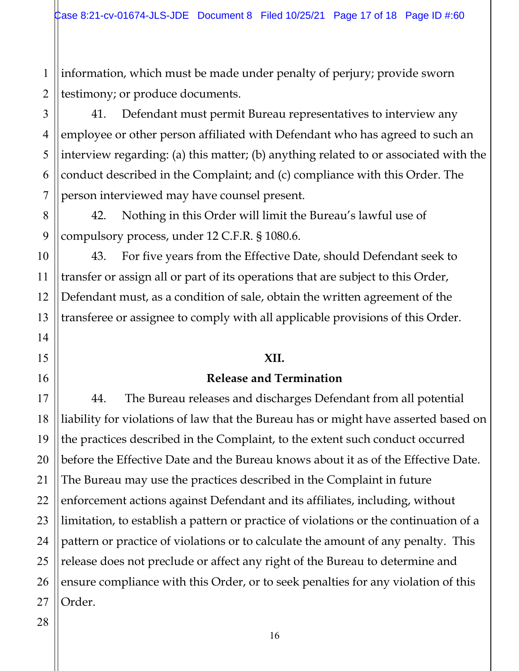1 2 information, which must be made under penalty of perjury; provide sworn testimony; or produce documents.

41. Defendant must permit Bureau representatives to interview any employee or other person affiliated with Defendant who has agreed to such an interview regarding: (a) this matter; (b) anything related to or associated with the conduct described in the Complaint; and (c) compliance with this Order. The person interviewed may have counsel present.

42. Nothing in this Order will limit the Bureau's lawful use of compulsory process, under 12 C.F.R. § 1080.6.

43. For five years from the Effective Date, should Defendant seek to transfer or assign all or part of its operations that are subject to this Order, Defendant must, as a condition of sale, obtain the written agreement of the transferee or assignee to comply with all applicable provisions of this Order.

#### **XII.**

#### **Release and Termination**

44. The Bureau releases and discharges Defendant from all potential liability for violations of law that the Bureau has or might have asserted based on the practices described in the Complaint, to the extent such conduct occurred before the Effective Date and the Bureau knows about it as of the Effective Date. The Bureau may use the practices described in the Complaint in future enforcement actions against Defendant and its affiliates, including, without limitation, to establish a pattern or practice of violations or the continuation of a pattern or practice of violations or to calculate the amount of any penalty. This release does not preclude or affect any right of the Bureau to determine and ensure compliance with this Order, or to seek penalties for any violation of this Order.